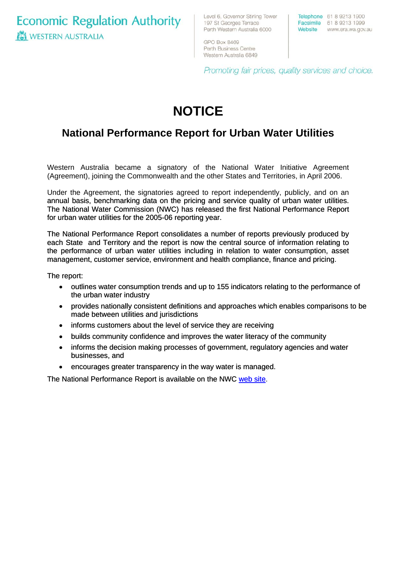**Economic Regulation Authority WESTERN AUSTRALIA** 

Level 6, Governor Stirling Tower 197 St Georges Terrace Perth Western Australia 6000

Telephone 61 8 9213 1900 Facsimile 61 8 9213 1999 Website www.era.wa.gov.au

GPO Box 8469 Perth Business Centre Western Australia 6849

Promoting fair prices, quality services and choice.

# **NOTICE**

## **National Performance Report for Urban Water Utilities**

Western Australia became a signatory of the National Water Initiative Agreement (Agreement), joining the Commonwealth and the other States and Territories, in April 2006.

Under the Agreement, the signatories agreed to report independently, publicly, and on an annual basis, benchmarking data on the pricing and service quality of urban water utilities. The National Water Commission (NWC) has released the first National Performance Report for urban water utilities for the 2005-06 reporting year.

The National Performance Report consolidates a number of reports previously produced by each State and Territory and the report is now the central source of information relating to the performance of urban water utilities including in relation to water consumption, asset management, customer service, environment and health compliance, finance and pricing.

The report:

- outlines water consumption trends and up to 155 indicators relating to the performance of the urban water industry
- provides nationally consistent definitions and approaches which enables comparisons to be made between utilities and jurisdictions
- informs customers about the level of service they are receiving
- builds community confidence and improves the water literacy of the community
- informs the decision making processes of government, regulatory agencies and water businesses, and
- encourages greater transparency in the way water is managed.

[The National Performance Report is available on the NWC web site](http://www.nwc.gov.au/nwi/national_benchmarking_framework.cfm#national).